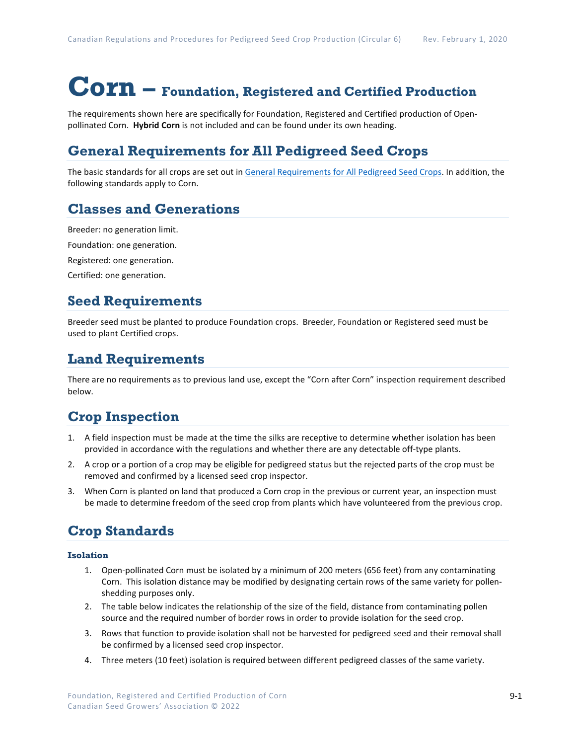# **Corn – Foundation, Registered and Certified Production**

The requirements shown here are specifically for Foundation, Registered and Certified production of Openpollinated Corn. **Hybrid Corn** is not included and can be found under its own heading.

### **General Requirements for All Pedigreed Seed Crops**

The basic standards for all crops are set out i[n General Requirements for All Pedigreed Seed](https://seedgrowers.ca/wp-content/uploads/2020/01/GENERAL-REQUIREMENTS-ALL-CROPS_EN.pdf) Crops. In addition, the following standards apply to Corn.

#### **Classes and Generations**

Breeder: no generation limit.

Foundation: one generation.

Registered: one generation.

Certified: one generation.

#### **Seed Requirements**

Breeder seed must be planted to produce Foundation crops. Breeder, Foundation or Registered seed must be used to plant Certified crops.

#### **Land Requirements**

There are no requirements as to previous land use, except the "Corn after Corn" inspection requirement described below.

#### **Crop Inspection**

- 1. A field inspection must be made at the time the silks are receptive to determine whether isolation has been provided in accordance with the regulations and whether there are any detectable off-type plants.
- 2. A crop or a portion of a crop may be eligible for pedigreed status but the rejected parts of the crop must be removed and confirmed by a licensed seed crop inspector.
- 3. When Corn is planted on land that produced a Corn crop in the previous or current year, an inspection must be made to determine freedom of the seed crop from plants which have volunteered from the previous crop.

## **Crop Standards**

#### **Isolation**

- 1. Open-pollinated Corn must be isolated by a minimum of 200 meters (656 feet) from any contaminating Corn. This isolation distance may be modified by designating certain rows of the same variety for pollenshedding purposes only.
- 2. The table below indicates the relationship of the size of the field, distance from contaminating pollen source and the required number of border rows in order to provide isolation for the seed crop.
- 3. Rows that function to provide isolation shall not be harvested for pedigreed seed and their removal shall be confirmed by a licensed seed crop inspector.
- 4. Three meters (10 feet) isolation is required between different pedigreed classes of the same variety.